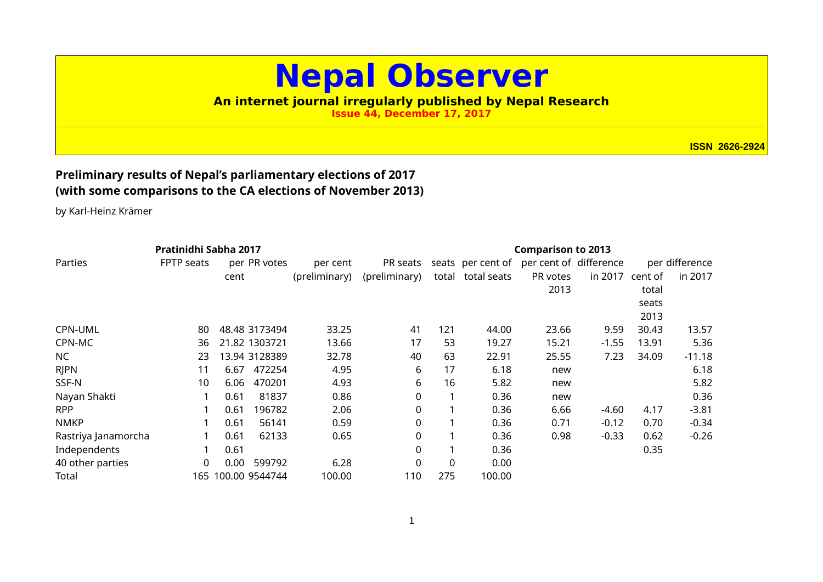## **Nepal Observer**

## **An internet journal irregularly published by Nepal Research**

**Issue 44, December 17, 2017**

**ISSN 2626-2924**

## **Preliminary results of Nepal's parliamentary elections of 2017 (with some comparisons to the CA elections of November 2013)**

by Karl-Heinz Krämer

| Pratinidhi Sabha 2017 |            |      |                    |               |               | <b>Comparison to 2013</b> |                   |                        |         |         |                |
|-----------------------|------------|------|--------------------|---------------|---------------|---------------------------|-------------------|------------------------|---------|---------|----------------|
| Parties               | FPTP seats |      | per PR votes       | per cent      | PR seats      |                           | seats per cent of | per cent of difference |         |         | per difference |
|                       |            | cent |                    | (preliminary) | (preliminary) |                           | total total seats | PR votes               | in 2017 | cent of | in 2017        |
|                       |            |      |                    |               |               |                           |                   | 2013                   |         | total   |                |
|                       |            |      |                    |               |               |                           |                   |                        |         | seats   |                |
|                       |            |      |                    |               |               |                           |                   |                        |         | 2013    |                |
| CPN-UML               | 80         |      | 48.48 3173494      | 33.25         | 41            | 121                       | 44.00             | 23.66                  | 9.59    | 30.43   | 13.57          |
| CPN-MC                | 36         |      | 21.82 1303721      | 13.66         | 17            | 53                        | 19.27             | 15.21                  | $-1.55$ | 13.91   | 5.36           |
| NC                    | 23         |      | 13.94 3128389      | 32.78         | 40            | 63                        | 22.91             | 25.55                  | 7.23    | 34.09   | $-11.18$       |
| <b>RJPN</b>           | 11         | 6.67 | 472254             | 4.95          | 6             | 17                        | 6.18              | new                    |         |         | 6.18           |
| SSF-N                 | 10         | 6.06 | 470201             | 4.93          | 6             | 16                        | 5.82              | new                    |         |         | 5.82           |
| Nayan Shakti          |            | 0.61 | 81837              | 0.86          | 0             |                           | 0.36              | new                    |         |         | 0.36           |
| <b>RPP</b>            |            | 0.61 | 196782             | 2.06          | 0             |                           | 0.36              | 6.66                   | $-4.60$ | 4.17    | $-3.81$        |
| <b>NMKP</b>           |            | 0.61 | 56141              | 0.59          | 0             |                           | 0.36              | 0.71                   | $-0.12$ | 0.70    | $-0.34$        |
| Rastriya Janamorcha   |            | 0.61 | 62133              | 0.65          | 0             |                           | 0.36              | 0.98                   | $-0.33$ | 0.62    | $-0.26$        |
| Independents          |            | 0.61 |                    |               | 0             |                           | 0.36              |                        |         | 0.35    |                |
| 40 other parties      | 0          | 0.00 | 599792             | 6.28          | 0             | $\mathbf{0}$              | 0.00              |                        |         |         |                |
| Total                 |            |      | 165 100.00 9544744 | 100.00        | 110           | 275                       | 100.00            |                        |         |         |                |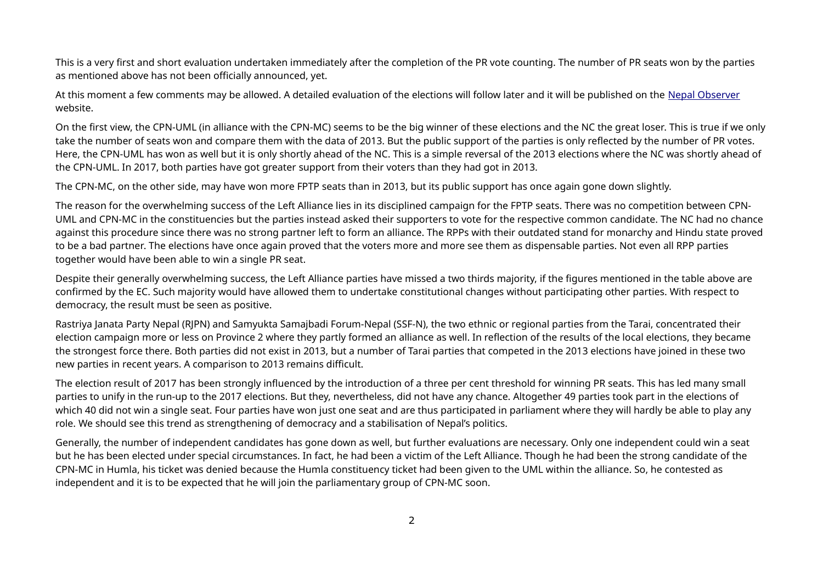This is a very first and short evaluation undertaken immediately after the completion of the PR vote counting. The number of PR seats won by the parties as mentioned above has not been officially announced, yet.

At this moment a few comments may be allowed. A detailed evaluation of the elections will follow later and it will be published on the [Nepal Observer](http://nepalobserver.nepalresearch.org/) website.

On the first view, the CPN-UML (in alliance with the CPN-MC) seems to be the big winner of these elections and the NC the great loser. This is true if we only take the number of seats won and compare them with the data of 2013. But the public support of the parties is only reflected by the number of PR votes. Here, the CPN-UML has won as well but it is only shortly ahead of the NC. This is a simple reversal of the 2013 elections where the NC was shortly ahead of the CPN-UML. In 2017, both parties have got greater support from their voters than they had got in 2013.

The CPN-MC, on the other side, may have won more FPTP seats than in 2013, but its public support has once again gone down slightly.

The reason for the overwhelming success of the Left Alliance lies in its disciplined campaign for the FPTP seats. There was no competition between CPN-UML and CPN-MC in the constituencies but the parties instead asked their supporters to vote for the respective common candidate. The NC had no chance against this procedure since there was no strong partner left to form an alliance. The RPPs with their outdated stand for monarchy and Hindu state proved to be a bad partner. The elections have once again proved that the voters more and more see them as dispensable parties. Not even all RPP parties together would have been able to win a single PR seat.

Despite their generally overwhelming success, the Left Alliance parties have missed a two thirds majority, if the figures mentioned in the table above are confirmed by the EC. Such majority would have allowed them to undertake constitutional changes without participating other parties. With respect to democracy, the result must be seen as positive.

Rastriya Janata Party Nepal (RJPN) and Samyukta Samajbadi Forum-Nepal (SSF-N), the two ethnic or regional parties from the Tarai, concentrated their election campaign more or less on Province 2 where they partly formed an alliance as well. In reflection of the results of the local elections, they became the strongest force there. Both parties did not exist in 2013, but a number of Tarai parties that competed in the 2013 elections have joined in these two new parties in recent years. A comparison to 2013 remains difficult.

The election result of 2017 has been strongly influenced by the introduction of a three per cent threshold for winning PR seats. This has led many small parties to unify in the run-up to the 2017 elections. But they, nevertheless, did not have any chance. Altogether 49 parties took part in the elections of which 40 did not win a single seat. Four parties have won just one seat and are thus participated in parliament where they will hardly be able to play any role. We should see this trend as strengthening of democracy and a stabilisation of Nepal's politics.

Generally, the number of independent candidates has gone down as well, but further evaluations are necessary. Only one independent could win a seat but he has been elected under special circumstances. In fact, he had been a victim of the Left Alliance. Though he had been the strong candidate of the CPN-MC in Humla, his ticket was denied because the Humla constituency ticket had been given to the UML within the alliance. So, he contested as independent and it is to be expected that he will join the parliamentary group of CPN-MC soon.